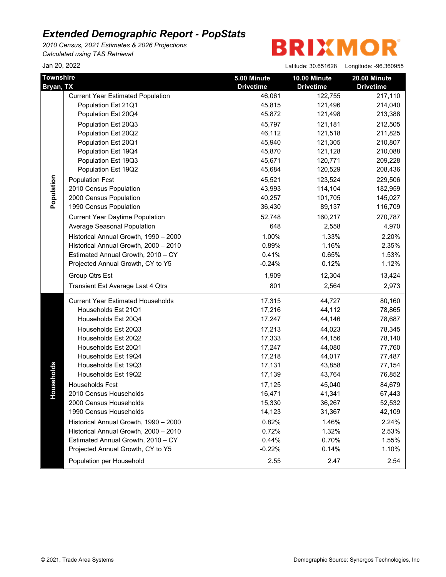*2010 Census, 2021 Estimates & 2026 Projections Calculated using TAS Retrieval*

## **BRIXMO**

Jan 20, 2022 Latitude: 30.651628 Longitude: -96.360955

R

| <b>Townshire</b> |                                          | 5.00 Minute      | 10.00 Minute     | 20.00 Minute     |
|------------------|------------------------------------------|------------------|------------------|------------------|
| Bryan, TX        |                                          | <b>Drivetime</b> | <b>Drivetime</b> | <b>Drivetime</b> |
|                  | <b>Current Year Estimated Population</b> | 46,061           | 122,755          | 217,110          |
|                  | Population Est 21Q1                      | 45,815           | 121,496          | 214,040          |
|                  | Population Est 20Q4                      | 45,872           | 121,498          | 213,388          |
|                  | Population Est 20Q3                      | 45,797           | 121,181          | 212,505          |
|                  | Population Est 20Q2                      | 46,112           | 121,518          | 211,825          |
|                  | Population Est 20Q1                      | 45,940           | 121,305          | 210,807          |
|                  | Population Est 19Q4                      | 45,870           | 121,128          | 210,088          |
|                  | Population Est 19Q3                      | 45,671           | 120,771          | 209,228          |
|                  | Population Est 19Q2                      | 45,684           | 120,529          | 208,436          |
| Population       | <b>Population Fcst</b>                   | 45,521           | 123,524          | 229,506          |
|                  | 2010 Census Population                   | 43,993           | 114,104          | 182,959          |
|                  | 2000 Census Population                   | 40,257           | 101,705          | 145,027          |
|                  | 1990 Census Population                   | 36,430           | 89,137           | 116,709          |
|                  | <b>Current Year Daytime Population</b>   | 52,748           | 160,217          | 270,787          |
|                  | Average Seasonal Population              | 648              | 2,558            | 4,970            |
|                  | Historical Annual Growth, 1990 - 2000    | 1.00%            | 1.33%            | 2.20%            |
|                  | Historical Annual Growth, 2000 - 2010    | 0.89%            | 1.16%            | 2.35%            |
|                  | Estimated Annual Growth, 2010 - CY       | 0.41%            | 0.65%            | 1.53%            |
|                  | Projected Annual Growth, CY to Y5        | $-0.24%$         | 0.12%            | 1.12%            |
|                  | Group Qtrs Est                           | 1,909            | 12,304           | 13,424           |
|                  | Transient Est Average Last 4 Qtrs        | 801              | 2,564            | 2,973            |
|                  | <b>Current Year Estimated Households</b> | 17,315           | 44,727           | 80,160           |
|                  | Households Est 21Q1                      | 17,216           | 44,112           | 78,865           |
|                  | Households Est 20Q4                      | 17,247           | 44,146           | 78,687           |
|                  | Households Est 20Q3                      | 17,213           | 44,023           | 78,345           |
|                  | Households Est 20Q2                      | 17,333           | 44,156           | 78,140           |
|                  | Households Est 20Q1                      | 17,247           | 44,080           | 77,760           |
|                  | Households Est 19Q4                      | 17,218           | 44,017           | 77,487           |
|                  | Households Est 19Q3                      | 17,131           | 43,858           | 77,154           |
|                  | Households Est 19Q2                      | 17,139           | 43,764           | 76,852           |
| Households       | Households Fcst                          | 17,125           | 45,040           | 84,679           |
|                  | 2010 Census Households                   | 16,471           | 41,341           | 67,443           |
|                  | 2000 Census Households                   | 15,330           | 36,267           | 52,532           |
|                  | 1990 Census Households                   | 14,123           | 31,367           | 42,109           |
|                  | Historical Annual Growth, 1990 - 2000    | 0.82%            | 1.46%            | 2.24%            |
|                  | Historical Annual Growth, 2000 - 2010    | 0.72%            | 1.32%            | 2.53%            |
|                  | Estimated Annual Growth, 2010 - CY       | 0.44%            | 0.70%            | 1.55%            |
|                  | Projected Annual Growth, CY to Y5        | $-0.22%$         | 0.14%            | 1.10%            |
|                  | Population per Household                 | 2.55             | 2.47             | 2.54             |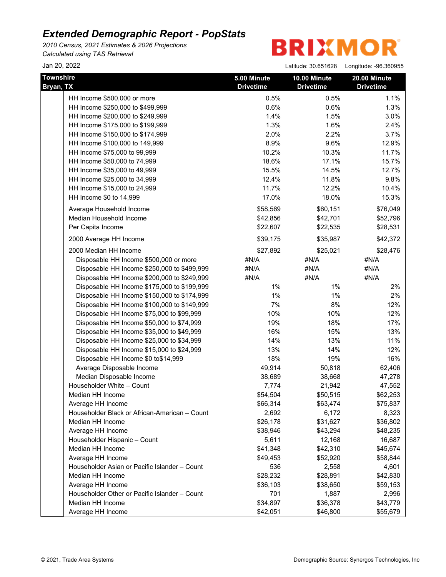*2010 Census, 2021 Estimates & 2026 Projections Calculated using TAS Retrieval*

## **BRIXMOR®**

| Jan 20, 2022                                  |                                 | Latitude: 30.651628              | Longitude: -96.360955            |
|-----------------------------------------------|---------------------------------|----------------------------------|----------------------------------|
| <b>Townshire</b><br>Bryan, TX                 | 5.00 Minute<br><b>Drivetime</b> | 10.00 Minute<br><b>Drivetime</b> | 20.00 Minute<br><b>Drivetime</b> |
| HH Income \$500,000 or more                   | 0.5%                            | 0.5%                             | 1.1%                             |
| HH Income \$250,000 to \$499,999              | 0.6%                            | 0.6%                             | 1.3%                             |
| HH Income \$200,000 to \$249,999              | 1.4%                            | 1.5%                             | 3.0%                             |
| HH Income \$175,000 to \$199,999              | 1.3%                            | 1.6%                             | 2.4%                             |
| HH Income \$150,000 to \$174,999              | 2.0%                            | 2.2%                             | 3.7%                             |
| HH Income \$100,000 to 149,999                | 8.9%                            | 9.6%                             | 12.9%                            |
| HH Income \$75,000 to 99,999                  | 10.2%                           | 10.3%                            | 11.7%                            |
| HH Income \$50,000 to 74,999                  | 18.6%                           | 17.1%                            | 15.7%                            |
| HH Income \$35,000 to 49,999                  | 15.5%                           | 14.5%                            | 12.7%                            |
| HH Income \$25,000 to 34,999                  | 12.4%                           | 11.8%                            | 9.8%                             |
| HH Income \$15,000 to 24,999                  | 11.7%                           | 12.2%                            | 10.4%                            |
| HH Income \$0 to 14,999                       | 17.0%                           | 18.0%                            | 15.3%                            |
| Average Household Income                      | \$58,569                        | \$60,151                         | \$76,049                         |
| Median Household Income                       | \$42,856                        | \$42,701                         | \$52,796                         |
| Per Capita Income                             | \$22,607                        | \$22,535                         | \$28,531                         |
| 2000 Average HH Income                        | \$39,175                        | \$35,987                         | \$42,372                         |
| 2000 Median HH Income                         | \$27,892                        | \$25,021                         | \$28,476                         |
| Disposable HH Income \$500,000 or more        | #N/A                            | #N/A                             | #N/A                             |
| Disposable HH Income \$250,000 to \$499,999   | #N/A                            | #N/A                             | #N/A                             |
| Disposable HH Income \$200,000 to \$249,999   | #N/A                            | #N/A                             | #N/A                             |
| Disposable HH Income \$175,000 to \$199,999   | 1%                              | 1%                               | 2%                               |
| Disposable HH Income \$150,000 to \$174,999   | 1%                              | 1%                               | 2%                               |
| Disposable HH Income \$100,000 to \$149,999   | 7%                              | 8%                               | 12%                              |
| Disposable HH Income \$75,000 to \$99,999     | 10%                             | 10%                              | 12%                              |
| Disposable HH Income \$50,000 to \$74,999     | 19%                             | 18%                              | 17%                              |
| Disposable HH Income \$35,000 to \$49,999     | 16%                             | 15%                              | 13%                              |
| Disposable HH Income \$25,000 to \$34,999     | 14%                             | 13%                              | 11%                              |
| Disposable HH Income \$15,000 to \$24,999     | 13%                             | 14%                              | 12%                              |
| Disposable HH Income \$0 to\$14,999           | 18%                             | 19%                              | 16%                              |
| Average Disposable Income                     | 49,914                          | 50,818                           | 62,406                           |
| Median Disposable Income                      | 38,689                          | 38,668                           | 47,278                           |
| Householder White - Count                     | 7,774                           | 21,942                           | 47,552                           |
| Median HH Income                              | \$54,504                        | \$50,515                         | \$62,253                         |
| Average HH Income                             | \$66,314                        | \$63,474                         | \$75,837                         |
| Householder Black or African-American - Count | 2,692                           | 6,172                            | 8,323                            |
| Median HH Income                              | \$26,178                        | \$31,627                         | \$36,802                         |
| Average HH Income                             | \$38,946                        | \$43,294                         | \$48,235                         |
| Householder Hispanic - Count                  | 5,611                           | 12,168                           | 16,687                           |
| Median HH Income                              | \$41,348                        | \$42,310                         | \$45,674                         |
| Average HH Income                             | \$49,453                        | \$52,920                         | \$58,844                         |
| Householder Asian or Pacific Islander - Count | 536                             | 2,558                            | 4,601                            |
| Median HH Income                              | \$28,232                        | \$28,891                         | \$42,830                         |
| Average HH Income                             | \$36,103                        | \$38,650                         | \$59,153                         |
| Householder Other or Pacific Islander - Count | 701                             | 1,887                            | 2,996                            |
| Median HH Income                              | \$34,897                        | \$36,378                         | \$43,779                         |
| Average HH Income                             | \$42,051                        | \$46,800                         | \$55,679                         |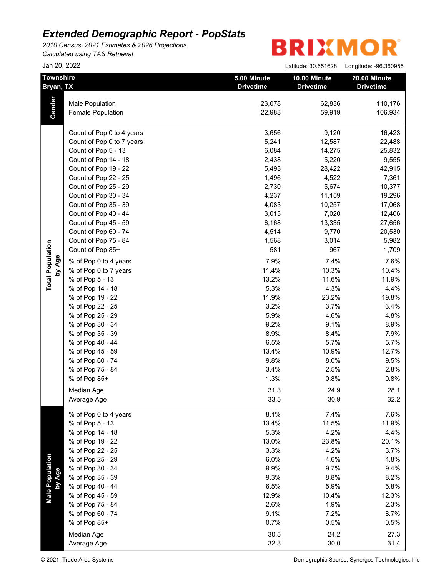*2010 Census, 2021 Estimates & 2026 Projections Calculated using TAS Retrieval*

## **BRIXMOR®**

|                               | Jan 20, 2022              |                                 | Latitude: 30.651628              | Longitude: - 96.360955           |
|-------------------------------|---------------------------|---------------------------------|----------------------------------|----------------------------------|
| <b>Townshire</b><br>Bryan, TX |                           | 5.00 Minute<br><b>Drivetime</b> | 10.00 Minute<br><b>Drivetime</b> | 20.00 Minute<br><b>Drivetime</b> |
| Gender                        | Male Population           | 23,078                          | 62,836                           | 110,176                          |
|                               | <b>Female Population</b>  | 22,983                          | 59,919                           | 106,934                          |
|                               | Count of Pop 0 to 4 years | 3,656                           | 9,120                            | 16,423                           |
|                               | Count of Pop 0 to 7 years | 5,241                           | 12,587                           | 22,488                           |
|                               | Count of Pop 5 - 13       | 6,084                           | 14,275                           | 25,832                           |
|                               | Count of Pop 14 - 18      | 2,438                           | 5,220                            | 9,555                            |
|                               | Count of Pop 19 - 22      | 5,493                           | 28,422                           | 42,915                           |
|                               | Count of Pop 22 - 25      | 1,496                           | 4,522                            | 7,361                            |
|                               | Count of Pop 25 - 29      | 2,730                           | 5,674                            | 10,377                           |
|                               | Count of Pop 30 - 34      | 4,237                           | 11,159                           | 19,296                           |
|                               | Count of Pop 35 - 39      | 4,083                           | 10,257                           | 17,068                           |
|                               | Count of Pop 40 - 44      | 3,013                           | 7,020                            | 12,406                           |
|                               | Count of Pop 45 - 59      | 6,168                           | 13,335                           | 27,656                           |
|                               | Count of Pop 60 - 74      | 4,514                           | 9,770                            | 20,530                           |
|                               | Count of Pop 75 - 84      | 1,568                           | 3,014                            | 5,982                            |
|                               | Count of Pop 85+          | 581                             | 967                              | 1,709                            |
| by Age                        | % of Pop 0 to 4 years     | 7.9%                            | 7.4%                             | 7.6%                             |
|                               | % of Pop 0 to 7 years     | 11.4%                           | 10.3%                            | 10.4%                            |
|                               | % of Pop 5 - 13           | 13.2%                           | 11.6%                            | 11.9%                            |
|                               | % of Pop 14 - 18          | 5.3%                            | 4.3%                             | 4.4%                             |
|                               | % of Pop 19 - 22          | 11.9%                           | 23.2%                            | 19.8%                            |
|                               | % of Pop 22 - 25          | 3.2%                            | 3.7%                             | 3.4%                             |
|                               | % of Pop 25 - 29          | 5.9%                            | 4.6%                             | 4.8%                             |
|                               | % of Pop 30 - 34          | 9.2%                            | 9.1%                             | 8.9%                             |
|                               | % of Pop 35 - 39          | 8.9%                            | 8.4%                             | 7.9%                             |
|                               | % of Pop 40 - 44          | 6.5%                            | 5.7%                             | 5.7%                             |
|                               | % of Pop 45 - 59          | 13.4%                           | 10.9%                            | 12.7%                            |
|                               | % of Pop 60 - 74          | 9.8%                            | 8.0%                             | 9.5%                             |
|                               | % of Pop 75 - 84          | 3.4%                            | 2.5%                             | 2.8%                             |
|                               | % of Pop 85+              | 1.3%                            | 0.8%                             | 0.8%                             |
|                               |                           |                                 |                                  |                                  |
|                               | Median Age<br>Average Age | 31.3<br>33.5                    | 24.9<br>30.9                     | 28.1<br>32.2                     |
|                               | % of Pop 0 to 4 years     | 8.1%                            | 7.4%                             | 7.6%                             |
|                               | % of Pop 5 - 13           | 13.4%                           | 11.5%                            | 11.9%                            |
|                               | % of Pop 14 - 18          | 5.3%                            | 4.2%                             | 4.4%                             |
|                               | % of Pop 19 - 22          | 13.0%                           | 23.8%                            | 20.1%                            |
|                               | % of Pop 22 - 25          | 3.3%                            | 4.2%                             | 3.7%                             |
|                               | % of Pop 25 - 29          | 6.0%                            | 4.6%                             | 4.8%                             |
|                               | % of Pop 30 - 34          | 9.9%                            | 9.7%                             | 9.4%                             |
|                               | % of Pop 35 - 39          | 9.3%                            | 8.8%                             | 8.2%                             |
| by Age                        | % of Pop 40 - 44          | 6.5%                            | 5.9%                             | 5.8%                             |
|                               | % of Pop 45 - 59          | 12.9%                           | 10.4%                            | 12.3%                            |
|                               | % of Pop 75 - 84          | 2.6%                            | 1.9%                             | 2.3%                             |
|                               | % of Pop 60 - 74          | 9.1%                            | 7.2%                             | 8.7%                             |
|                               | % of Pop 85+              | 0.7%                            | 0.5%                             | 0.5%                             |
|                               |                           |                                 |                                  |                                  |
|                               | Median Age                | 30.5                            | 24.2                             | 27.3                             |
|                               | Average Age               | 32.3                            | 30.0                             | 31.4                             |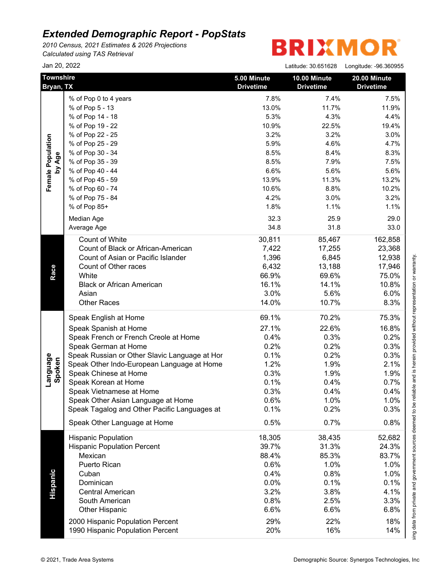*2010 Census, 2021 Estimates & 2026 Projections*

*Calculated using TAS Retrieval*

# **BRIXMOR®**

|                    | Jan 20, 2022                                  |                                 | Latitude: 30.651628              | Longitude: -96.360955            |
|--------------------|-----------------------------------------------|---------------------------------|----------------------------------|----------------------------------|
|                    | <b>Townshire</b><br>Bryan, TX                 | 5.00 Minute<br><b>Drivetime</b> | 10.00 Minute<br><b>Drivetime</b> | 20.00 Minute<br><b>Drivetime</b> |
|                    | % of Pop 0 to 4 years                         | 7.8%                            | 7.4%                             | 7.5%                             |
|                    | % of Pop 5 - 13                               | 13.0%                           | 11.7%                            | 11.9%                            |
|                    | % of Pop 14 - 18                              | 5.3%                            | 4.3%                             | 4.4%                             |
|                    | % of Pop 19 - 22                              | 10.9%                           | 22.5%                            | 19.4%                            |
|                    | % of Pop 22 - 25                              | 3.2%                            | 3.2%                             | 3.0%                             |
|                    | % of Pop 25 - 29                              | 5.9%                            | 4.6%                             | 4.7%                             |
|                    | % of Pop 30 - 34                              | 8.5%                            | 8.4%                             | 8.3%                             |
| by Age             | % of Pop 35 - 39                              | 8.5%                            | 7.9%                             | 7.5%                             |
|                    | % of Pop 40 - 44                              | 6.6%                            | 5.6%                             | 5.6%                             |
|                    | % of Pop 45 - 59                              | 13.9%                           | 11.3%                            | 13.2%                            |
|                    | % of Pop 60 - 74                              | 10.6%                           | 8.8%                             | 10.2%                            |
|                    | % of Pop 75 - 84                              | 4.2%                            | 3.0%                             | 3.2%                             |
|                    | % of Pop 85+                                  | 1.8%                            | 1.1%                             | 1.1%                             |
|                    |                                               | 32.3                            | 25.9                             | 29.0                             |
|                    | Median Age                                    | 34.8                            | 31.8                             | 33.0                             |
|                    | Average Age                                   |                                 |                                  |                                  |
|                    | Count of White                                | 30,811                          | 85,467                           | 162,858                          |
|                    | Count of Black or African-American            | 7,422                           | 17,255                           | 23,368                           |
|                    | Count of Asian or Pacific Islander            | 1,396                           | 6,845                            | 12,938                           |
|                    | Count of Other races                          | 6,432                           | 13,188                           | 17,946                           |
|                    | White                                         | 66.9%                           | 69.6%                            | 75.0%                            |
|                    | <b>Black or African American</b>              | 16.1%                           | 14.1%                            | 10.8%                            |
|                    | Asian                                         | 3.0%                            | 5.6%                             | 6.0%                             |
|                    | <b>Other Races</b>                            | 14.0%                           | 10.7%                            | 8.3%                             |
|                    | Speak English at Home                         | 69.1%                           | 70.2%                            | 75.3%                            |
|                    | Speak Spanish at Home                         | 27.1%                           | 22.6%                            | 16.8%                            |
|                    | Speak French or French Creole at Home         | 0.4%                            | 0.3%                             | 0.2%                             |
|                    | Speak German at Home                          | 0.2%                            | 0.2%                             | 0.3%                             |
|                    | Speak Russian or Other Slavic Language at Hor | 0.1%                            | 0.2%                             | 0.3%                             |
|                    | Speak Other Indo-European Language at Home    | 1.2%                            | 1.9%                             | 2.1%                             |
| Language<br>Spoken | Speak Chinese at Home                         | 0.3%                            | 1.9%                             | 1.9%                             |
|                    | Speak Korean at Home                          | 0.1%                            | 0.4%                             | 0.7%                             |
|                    | Speak Vietnamese at Home                      | 0.3%                            | 0.4%                             | 0.4%                             |
|                    | Speak Other Asian Language at Home            | 0.6%                            | 1.0%                             | 1.0%                             |
|                    | Speak Tagalog and Other Pacific Languages at  | 0.1%                            | 0.2%                             | 0.3%                             |
|                    | Speak Other Language at Home                  | 0.5%                            | 0.7%                             | 0.8%                             |
|                    | <b>Hispanic Population</b>                    | 18,305                          | 38,435                           | 52,682                           |
|                    | <b>Hispanic Population Percent</b>            | 39.7%                           | 31.3%                            | 24.3%                            |
|                    | Mexican                                       | 88.4%                           | 85.3%                            | 83.7%                            |
|                    | Puerto Rican                                  | 0.6%                            | 1.0%                             | 1.0%                             |
|                    | Cuban                                         | 0.4%                            | 0.8%                             | 1.0%                             |
|                    | Dominican                                     | 0.0%                            | 0.1%                             | 0.1%                             |
| <b>Hispanic</b>    | <b>Central American</b>                       | 3.2%                            | 3.8%                             | 4.1%                             |
|                    | South American                                | 0.8%                            | 2.5%                             | 3.3%                             |
|                    | <b>Other Hispanic</b>                         | 6.6%                            | 6.6%                             | 6.8%                             |
|                    |                                               |                                 |                                  |                                  |
|                    | 2000 Hispanic Population Percent              | 29%<br>20%                      | 22%                              | 18%                              |
|                    | 1990 Hispanic Population Percent              |                                 | 16%                              | 14%                              |

This report was produced using data from private and government sources deemed to be reliable and is herein provided without representation or warranty.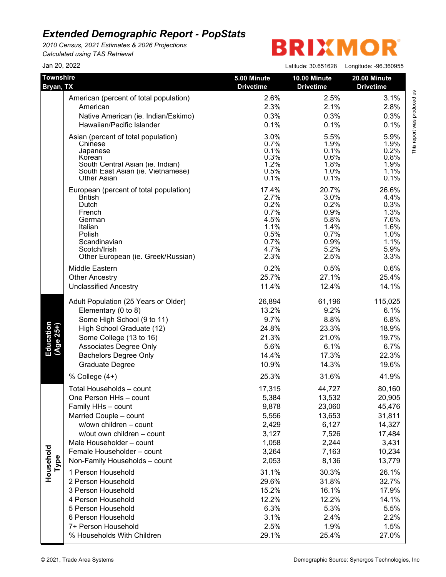*2010 Census, 2021 Estimates & 2026 Projections Calculated using TAS Retrieval*

### **BRIXMO** R

| Jan 20, 2022             |                                                                                                                                                                                                                                                                                                                                                                                                                                                |                                                                                                                                                     | Latitude: 30.651628                                                                                                                                    | Longitude: -96.360955                                                                                                                                      |
|--------------------------|------------------------------------------------------------------------------------------------------------------------------------------------------------------------------------------------------------------------------------------------------------------------------------------------------------------------------------------------------------------------------------------------------------------------------------------------|-----------------------------------------------------------------------------------------------------------------------------------------------------|--------------------------------------------------------------------------------------------------------------------------------------------------------|------------------------------------------------------------------------------------------------------------------------------------------------------------|
| <b>Townshire</b>         |                                                                                                                                                                                                                                                                                                                                                                                                                                                | 5.00 Minute                                                                                                                                         | 10.00 Minute                                                                                                                                           | 20.00 Minute                                                                                                                                               |
| Bryan, TX                |                                                                                                                                                                                                                                                                                                                                                                                                                                                | <b>Drivetime</b>                                                                                                                                    | <b>Drivetime</b>                                                                                                                                       | <b>Drivetime</b>                                                                                                                                           |
|                          | American (percent of total population)                                                                                                                                                                                                                                                                                                                                                                                                         | 2.6%                                                                                                                                                | 2.5%                                                                                                                                                   | 3.1%                                                                                                                                                       |
|                          | American                                                                                                                                                                                                                                                                                                                                                                                                                                       | 2.3%                                                                                                                                                | 2.1%                                                                                                                                                   | 2.8%                                                                                                                                                       |
|                          | Native American (ie. Indian/Eskimo)                                                                                                                                                                                                                                                                                                                                                                                                            | 0.3%                                                                                                                                                | 0.3%                                                                                                                                                   | 0.3%                                                                                                                                                       |
|                          | Hawaiian/Pacific Islander                                                                                                                                                                                                                                                                                                                                                                                                                      | 0.1%                                                                                                                                                | 0.1%                                                                                                                                                   | 0.1%                                                                                                                                                       |
|                          | Asian (percent of total population)                                                                                                                                                                                                                                                                                                                                                                                                            | 3.0%                                                                                                                                                | 5.5%                                                                                                                                                   | 5.9%                                                                                                                                                       |
|                          | Chinese                                                                                                                                                                                                                                                                                                                                                                                                                                        | 0.7%                                                                                                                                                | 1.9%                                                                                                                                                   | 1.9%                                                                                                                                                       |
|                          | Japanese                                                                                                                                                                                                                                                                                                                                                                                                                                       | 0.1%                                                                                                                                                | 0.1%                                                                                                                                                   | 0.2%                                                                                                                                                       |
|                          | Korean                                                                                                                                                                                                                                                                                                                                                                                                                                         | 0.3%                                                                                                                                                | 0.6%                                                                                                                                                   | 0.8%                                                                                                                                                       |
|                          | South Central Asian (ie. Indian)                                                                                                                                                                                                                                                                                                                                                                                                               | 1.2%                                                                                                                                                | 1.8%                                                                                                                                                   | 1.9%                                                                                                                                                       |
|                          | South East Asian (ie. Vietnamese)                                                                                                                                                                                                                                                                                                                                                                                                              | 0.5%                                                                                                                                                | 1.0%                                                                                                                                                   | 1.1%                                                                                                                                                       |
|                          | <b>Other Asian</b>                                                                                                                                                                                                                                                                                                                                                                                                                             | 0.1%                                                                                                                                                | 0.1%                                                                                                                                                   | 0.1%                                                                                                                                                       |
|                          | European (percent of total population)                                                                                                                                                                                                                                                                                                                                                                                                         | 17.4%                                                                                                                                               | 20.7%                                                                                                                                                  | 26.6%                                                                                                                                                      |
|                          | <b>British</b>                                                                                                                                                                                                                                                                                                                                                                                                                                 | 2.7%                                                                                                                                                | 3.0%                                                                                                                                                   | 4.4%                                                                                                                                                       |
|                          | Dutch                                                                                                                                                                                                                                                                                                                                                                                                                                          | 0.2%                                                                                                                                                | 0.2%                                                                                                                                                   | 0.3%                                                                                                                                                       |
|                          | French                                                                                                                                                                                                                                                                                                                                                                                                                                         | 0.7%                                                                                                                                                | 0.9%                                                                                                                                                   | 1.3%                                                                                                                                                       |
|                          | German                                                                                                                                                                                                                                                                                                                                                                                                                                         | 4.5%                                                                                                                                                | 5.8%                                                                                                                                                   | 7.6%                                                                                                                                                       |
|                          | Italian                                                                                                                                                                                                                                                                                                                                                                                                                                        | 1.1%                                                                                                                                                | 1.4%                                                                                                                                                   | 1.6%                                                                                                                                                       |
|                          | Polish                                                                                                                                                                                                                                                                                                                                                                                                                                         | 0.5%                                                                                                                                                | 0.7%                                                                                                                                                   | 1.0%                                                                                                                                                       |
|                          | Scandinavian                                                                                                                                                                                                                                                                                                                                                                                                                                   | 0.7%                                                                                                                                                | 0.9%                                                                                                                                                   | 1.1%                                                                                                                                                       |
|                          | Scotch/Irish                                                                                                                                                                                                                                                                                                                                                                                                                                   | 4.7%                                                                                                                                                | 5.2%                                                                                                                                                   | 5.9%                                                                                                                                                       |
|                          | Other European (ie. Greek/Russian)                                                                                                                                                                                                                                                                                                                                                                                                             | 2.3%                                                                                                                                                | 2.5%                                                                                                                                                   | 3.3%                                                                                                                                                       |
|                          | Middle Eastern                                                                                                                                                                                                                                                                                                                                                                                                                                 | 0.2%                                                                                                                                                | 0.5%                                                                                                                                                   | 0.6%                                                                                                                                                       |
|                          | <b>Other Ancestry</b>                                                                                                                                                                                                                                                                                                                                                                                                                          | 25.7%                                                                                                                                               | 27.1%                                                                                                                                                  | 25.4%                                                                                                                                                      |
|                          | <b>Unclassified Ancestry</b>                                                                                                                                                                                                                                                                                                                                                                                                                   | 11.4%                                                                                                                                               | 12.4%                                                                                                                                                  | 14.1%                                                                                                                                                      |
| Education<br>$(Age 25+)$ | Adult Population (25 Years or Older)<br>Elementary (0 to 8)<br>Some High School (9 to 11)<br>High School Graduate (12)<br>Some College (13 to 16)<br>Associates Degree Only<br><b>Bachelors Degree Only</b><br><b>Graduate Degree</b><br>% College (4+)                                                                                                                                                                                        | 26,894<br>13.2%<br>9.7%<br>24.8%<br>21.3%<br>5.6%<br>14.4%<br>10.9%<br>25.3%                                                                        | 61,196<br>9.2%<br>8.8%<br>23.3%<br>21.0%<br>6.1%<br>17.3%<br>14.3%<br>31.6%                                                                            | 115,025<br>6.1%<br>6.8%<br>18.9%<br>19.7%<br>6.7%<br>22.3%<br>19.6%<br>41.9%                                                                               |
| Household<br>Type        | Total Households - count<br>One Person HHs - count<br>Family HHs - count<br>Married Couple - count<br>w/own children - count<br>w/out own children - count<br>Male Householder - count<br>Female Householder - count<br>Non-Family Households - count<br>1 Person Household<br>2 Person Household<br>3 Person Household<br>4 Person Household<br>5 Person Household<br>6 Person Household<br>7+ Person Household<br>% Households With Children | 17,315<br>5,384<br>9,878<br>5,556<br>2,429<br>3,127<br>1,058<br>3,264<br>2,053<br>31.1%<br>29.6%<br>15.2%<br>12.2%<br>6.3%<br>3.1%<br>2.5%<br>29.1% | 44,727<br>13,532<br>23,060<br>13,653<br>6,127<br>7,526<br>2,244<br>7,163<br>8,136<br>30.3%<br>31.8%<br>16.1%<br>12.2%<br>5.3%<br>2.4%<br>1.9%<br>25.4% | 80,160<br>20,905<br>45,476<br>31,811<br>14,327<br>17,484<br>3,431<br>10,234<br>13,779<br>26.1%<br>32.7%<br>17.9%<br>14.1%<br>5.5%<br>2.2%<br>1.5%<br>27.0% |

This report was produced us<br>T This report was produced us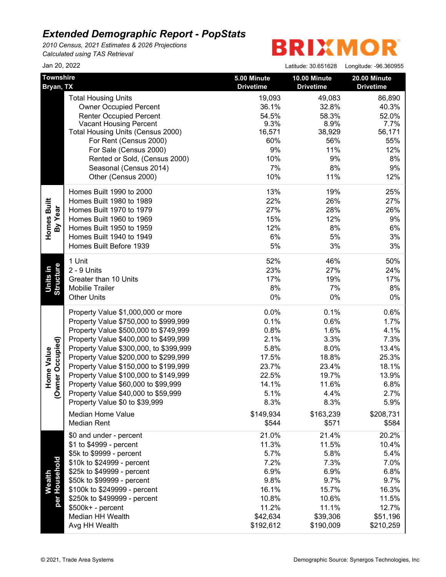*2010 Census, 2021 Estimates & 2026 Projections Calculated using TAS Retrieval*

## **BRIXMOR**

| Jan 20, 2022                                          |                                                                                                                                                                                                                                                                                                                                                                                                                                                    |                                                                                                    | Latitude: 30.651628                                                                                | Longitude: - 96.360955                                                                             |
|-------------------------------------------------------|----------------------------------------------------------------------------------------------------------------------------------------------------------------------------------------------------------------------------------------------------------------------------------------------------------------------------------------------------------------------------------------------------------------------------------------------------|----------------------------------------------------------------------------------------------------|----------------------------------------------------------------------------------------------------|----------------------------------------------------------------------------------------------------|
| <b>Townshire</b><br>Bryan, TX                         |                                                                                                                                                                                                                                                                                                                                                                                                                                                    | 5.00 Minute<br><b>Drivetime</b>                                                                    | 10.00 Minute<br><b>Drivetime</b>                                                                   | 20.00 Minute<br><b>Drivetime</b>                                                                   |
|                                                       | <b>Total Housing Units</b><br><b>Owner Occupied Percent</b><br><b>Renter Occupied Percent</b><br><b>Vacant Housing Percent</b><br>Total Housing Units (Census 2000)<br>For Rent (Census 2000)<br>For Sale (Census 2000)<br>Rented or Sold, (Census 2000)                                                                                                                                                                                           | 19,093<br>36.1%<br>54.5%<br>9.3%<br>16,571<br>60%<br>9%<br>10%                                     | 49,083<br>32.8%<br>58.3%<br>8.9%<br>38,929<br>56%<br>11%<br>9%                                     | 86,890<br>40.3%<br>52.0%<br>7.7%<br>56,171<br>55%<br>12%<br>8%                                     |
|                                                       | Seasonal (Census 2014)<br>Other (Census 2000)                                                                                                                                                                                                                                                                                                                                                                                                      | 7%<br>10%                                                                                          | 8%<br>11%                                                                                          | 9%<br>12%                                                                                          |
| Homes Built<br>By Year                                | Homes Built 1990 to 2000<br>Homes Built 1980 to 1989<br>Homes Built 1970 to 1979<br>Homes Built 1960 to 1969<br>Homes Built 1950 to 1959<br>Homes Built 1940 to 1949<br>Homes Built Before 1939                                                                                                                                                                                                                                                    | 13%<br>22%<br>27%<br>15%<br>12%<br>6%<br>5%                                                        | 19%<br>26%<br>28%<br>12%<br>8%<br>5%<br>3%                                                         | 25%<br>27%<br>26%<br>9%<br>6%<br>3%<br>3%                                                          |
| <b>Structure</b><br>Units in                          | 1 Unit<br>2 - 9 Units<br>Greater than 10 Units<br><b>Mobilie Trailer</b><br><b>Other Units</b>                                                                                                                                                                                                                                                                                                                                                     | 52%<br>23%<br>17%<br>8%<br>$0\%$                                                                   | 46%<br>27%<br>19%<br>7%<br>$0\%$                                                                   | 50%<br>24%<br>17%<br>8%<br>$0\%$                                                                   |
| vner Occupied)<br>Home Value<br>$\check{\mathcal{S}}$ | Property Value \$1,000,000 or more<br>Property Value \$750,000 to \$999,999<br>Property Value \$500,000 to \$749,999<br>Property Value \$400,000 to \$499,999<br>Property Value \$300,000, to \$399,999<br>Property Value \$200,000 to \$299,999<br>Property Value \$150,000 to \$199,999<br>Property Value \$100,000 to \$149,999<br>Property Value \$60,000 to \$99,999<br>Property Value \$40,000 to \$59,999<br>Property Value \$0 to \$39,999 | 0.0%<br>0.1%<br>0.8%<br>2.1%<br>5.8%<br>17.5%<br>23.7%<br>22.5%<br>14.1%<br>5.1%<br>8.3%           | 0.1%<br>0.6%<br>1.6%<br>3.3%<br>8.0%<br>18.8%<br>23.4%<br>19.7%<br>11.6%<br>4.4%<br>8.3%           | 0.6%<br>1.7%<br>4.1%<br>7.3%<br>13.4%<br>25.3%<br>18.1%<br>13.9%<br>6.8%<br>2.7%<br>5.9%           |
|                                                       | Median Home Value<br><b>Median Rent</b>                                                                                                                                                                                                                                                                                                                                                                                                            | \$149,934<br>\$544                                                                                 | \$163,239<br>\$571                                                                                 | \$208,731<br>\$584                                                                                 |
| per Household<br><b>Wealth</b>                        | \$0 and under - percent<br>\$1 to \$4999 - percent<br>\$5k to \$9999 - percent<br>\$10k to \$24999 - percent<br>\$25k to \$49999 - percent<br>\$50k to \$99999 - percent<br>\$100k to \$249999 - percent<br>\$250k to \$499999 - percent<br>$$500k+ - percent$<br>Median HH Wealth<br>Avg HH Wealth                                                                                                                                                | 21.0%<br>11.3%<br>5.7%<br>7.2%<br>6.9%<br>9.8%<br>16.1%<br>10.8%<br>11.2%<br>\$42,634<br>\$192,612 | 21.4%<br>11.5%<br>5.8%<br>7.3%<br>6.9%<br>9.7%<br>15.7%<br>10.6%<br>11.1%<br>\$39,306<br>\$190,009 | 20.2%<br>10.4%<br>5.4%<br>7.0%<br>6.8%<br>9.7%<br>16.3%<br>11.5%<br>12.7%<br>\$51,196<br>\$210,259 |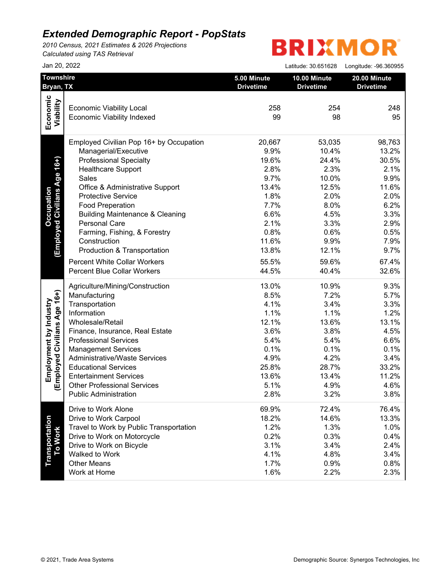*2010 Census, 2021 Estimates & 2026 Projections Calculated using TAS Retrieval*

## **BRIXMOR®**

| Jan 20, 2022                                          |                                                                                                                                                                                                                                                                                                                                                                                                                                                              |                                                                                                                              | Latitude: 30.651628                                                                                                           | Longitude: -96.360955                                                                                                       |
|-------------------------------------------------------|--------------------------------------------------------------------------------------------------------------------------------------------------------------------------------------------------------------------------------------------------------------------------------------------------------------------------------------------------------------------------------------------------------------------------------------------------------------|------------------------------------------------------------------------------------------------------------------------------|-------------------------------------------------------------------------------------------------------------------------------|-----------------------------------------------------------------------------------------------------------------------------|
| Townshire<br>Bryan, TX                                |                                                                                                                                                                                                                                                                                                                                                                                                                                                              | 5.00 Minute<br><b>Drivetime</b>                                                                                              | 10.00 Minute<br><b>Drivetime</b>                                                                                              | 20.00 Minute<br><b>Drivetime</b>                                                                                            |
| Economic<br>Viability                                 | <b>Economic Viability Local</b><br><b>Economic Viability Indexed</b>                                                                                                                                                                                                                                                                                                                                                                                         | 258<br>99                                                                                                                    | 254<br>98                                                                                                                     | 248<br>95                                                                                                                   |
| (Employed Civilians Age 16+)<br>Occupation            | Employed Civilian Pop 16+ by Occupation<br>Managerial/Executive<br><b>Professional Specialty</b><br><b>Healthcare Support</b><br>Sales<br>Office & Administrative Support<br><b>Protective Service</b><br><b>Food Preperation</b><br><b>Building Maintenance &amp; Cleaning</b><br>Personal Care<br>Farming, Fishing, & Forestry<br>Construction<br>Production & Transportation<br><b>Percent White Collar Workers</b><br><b>Percent Blue Collar Workers</b> | 20,667<br>9.9%<br>19.6%<br>2.8%<br>9.7%<br>13.4%<br>1.8%<br>7.7%<br>6.6%<br>2.1%<br>0.8%<br>11.6%<br>13.8%<br>55.5%<br>44.5% | 53,035<br>10.4%<br>24.4%<br>2.3%<br>10.0%<br>12.5%<br>2.0%<br>8.0%<br>4.5%<br>3.3%<br>0.6%<br>9.9%<br>12.1%<br>59.6%<br>40.4% | 98,763<br>13.2%<br>30.5%<br>2.1%<br>9.9%<br>11.6%<br>2.0%<br>6.2%<br>3.3%<br>2.9%<br>0.5%<br>7.9%<br>9.7%<br>67.4%<br>32.6% |
| Employed Civilians Age 16+)<br>Employment by Industry | Agriculture/Mining/Construction<br>Manufacturing<br>Transportation<br>Information<br>Wholesale/Retail<br>Finance, Insurance, Real Estate<br><b>Professional Services</b><br><b>Management Services</b><br><b>Administrative/Waste Services</b><br><b>Educational Services</b><br><b>Entertainment Services</b><br><b>Other Professional Services</b><br><b>Public Administration</b>                                                                         | 13.0%<br>8.5%<br>4.1%<br>1.1%<br>12.1%<br>3.6%<br>5.4%<br>0.1%<br>4.9%<br>25.8%<br>13.6%<br>5.1%<br>2.8%                     | 10.9%<br>7.2%<br>3.4%<br>1.1%<br>13.6%<br>3.8%<br>5.4%<br>0.1%<br>4.2%<br>28.7%<br>13.4%<br>4.9%<br>3.2%                      | 9.3%<br>5.7%<br>3.3%<br>1.2%<br>13.1%<br>4.5%<br>6.6%<br>0.1%<br>3.4%<br>33.2%<br>11.2%<br>4.6%<br>3.8%                     |
| Transportation<br>To Work                             | Drive to Work Alone<br>Drive to Work Carpool<br>Travel to Work by Public Transportation<br>Drive to Work on Motorcycle<br>Drive to Work on Bicycle<br>Walked to Work<br><b>Other Means</b><br>Work at Home                                                                                                                                                                                                                                                   | 69.9%<br>18.2%<br>1.2%<br>0.2%<br>3.1%<br>4.1%<br>1.7%<br>1.6%                                                               | 72.4%<br>14.6%<br>1.3%<br>0.3%<br>3.4%<br>4.8%<br>0.9%<br>2.2%                                                                | 76.4%<br>13.3%<br>1.0%<br>0.4%<br>2.4%<br>3.4%<br>0.8%<br>2.3%                                                              |
|                                                       | © 2021, Trade Area Systems                                                                                                                                                                                                                                                                                                                                                                                                                                   |                                                                                                                              |                                                                                                                               | Demographic Source: Synergos Technologies, Inc                                                                              |